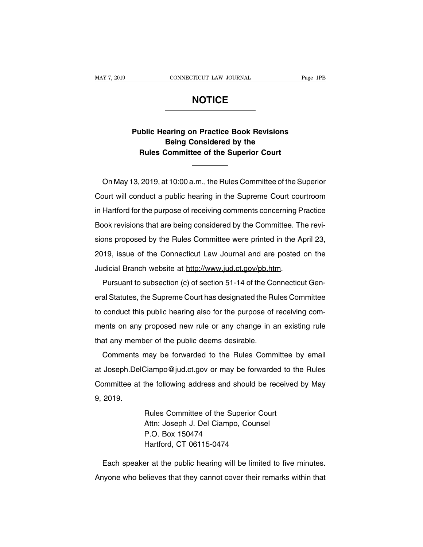## **NOTICE**

## CONNECTICUT LAW JOURNAL Page 1PB<br> **Public Hearing on Practice Book Revisions**<br> **Public Hearing on Practice Book Revisions**<br> **Public Agency Considered by the Being Considered by the RULEE**<br> **Rublic Hearing on Practice Book Revisions**<br> **Rules Committee of the Superior Court**<br>
<u>Committee of the Superior Court</u>

Public Hearing on Practice Book Revisions<br>
Being Considered by the<br>
Rules Committee of the Superior Court<br>
On May 13, 2019, at 10:00 a.m., the Rules Committee of the Superior<br>
burt will conduct a public hearing in the Supr Being Considered by the<br>
Rules Committee of the Superior Court<br>
Con May 13, 2019, at 10:00 a.m., the Rules Committee of the Superior<br>
Court will conduct a public hearing in the Supreme Court courtroom<br>
in Hartford for the In Hartford for the purpose of receiving comments concerning Practice<br>Book revisions that are being considered by the Committee. The revi-<br>Book revisions that are being considered by the Committee. The revi-On May 13, 2019, at 10:00 a.m., the Rules Committee of the Superior<br>Court will conduct a public hearing in the Supreme Court courtroom<br>in Hartford for the purpose of receiving comments concerning Practice<br>Book revisions th Sinkity 18, 2010, at 18.66 a.m., the France Committee of the Superior<br>Court will conduct a public hearing in the Supreme Court courtroom<br>in Hartford for the purpose of receiving comments concerning Practice<br>Book revisions 2011 will school te purpose of receiving comments concerning Practice<br>Book revisions that are being considered by the Committee. The revi-<br>sions proposed by the Rules Committee were printed in the April 23,<br>2019, issue of Book revisions that are being considered by the Committee. The<br>Book revisions that are being considered by the Committee. The<br>Sions proposed by the Rules Committee were printed in the A<br>2019, issue of the Connecticut Law J Pursuant to subsection (c) of section 51-14 of the Connecticut Gen-<br>al Statutes, the Connecticut Law Journal and are posted on the<br>dicial Branch website at http://www.jud.ct.gov/pb.htm.<br>Pursuant to subsection (c) of sectio

2019, issue of the Connecticut Law Journal and are posted on the<br>Judicial Branch website at http://www.jud.ct.gov/pb.htm.<br>Pursuant to subsection (c) of section 51-14 of the Connecticut Gen-<br>eral Statutes, the Supreme Court Judicial Branch website at http://www.jud.ct.gov/pb.htm.<br>Pursuant to subsection (c) of section 51-14 of the Connecticut General Statutes, the Supreme Court has designated the Rules Committee<br>to conduct this public hearing Pursuant to subsection (c) of section 51-14 of the Connecticut General Statutes, the Supreme Court has designated the Rules Committee to conduct this public hearing also for the purpose of receiving comments on any propose Fustion to subsection (c) of section of the functions and the Ru<br>to conduct this public hearing also for the purpose of<br>ments on any proposed new rule or any change in a<br>that any member of the public deems desirable.<br>Comme conduct this public hearing also for the purpose of receiving com-<br>ents on any proposed new rule or any change in an existing rule<br>at any member of the public deems desirable.<br>Comments may be forwarded to the Rules Committ

ments on any proposed new rule or any change in an existing rule<br>that any member of the public deems desirable.<br>Comments may be forwarded to the Rules Committee by email<br>at Joseph.DelCiampo@jud.ct.gov or may be forwarded t that any member of the public deems desirable.<br>Comments may be forwarded to the Rules Committee by email<br>at <u>Joseph.DelCiampo@jud.ct.gov</u> or may be forwarded to the Rules<br>Committee at the following address and should be re Comments<br>at Joseph.Del<br>Committee at<br>9, 2019. Ciampo@jud.ct.gov or may be forwarded to the following address and should be received<br>the following address and should be received<br>Rules Committee of the Superior Court<br>Attn: Joseph J. Del Ciampo, Counsel Ciampo@jud.ct.gov or may be forwarded the following address and should be receincle<br>Hules Committee of the Superior Court<br>Attn: Joseph J. Del Ciampo, Counsel<br>P.O. Box 150474

the following address and sh<br>Rules Committee of the Sup<br>Attn: Joseph J. Del Ciampo,<br>P.O. Box 150474<br>Hartford, CT 06115-0474 Rules Committee of the Superior Co<br>Attn: Joseph J. Del Ciampo, Counse<br>P.O. Box 150474<br>Hartford, CT 06115-0474<br>Pr. at the public bearing will be limite Rules Committee of the Superior Court<br>Attn: Joseph J. Del Ciampo, Counsel<br>P.O. Box 150474<br>Hartford, CT 06115-0474<br>Each speaker at the public hearing will be limited to five minutes.<br>Nyone who believes that they cannot cove

Atth: Joseph J. Del Ciampo, Counsel<br>P.O. Box 150474<br>Hartford, CT 06115-0474<br>Each speaker at the public hearing will be limited to five minutes.<br>Anyone who believes that they cannot cover their remarks within that